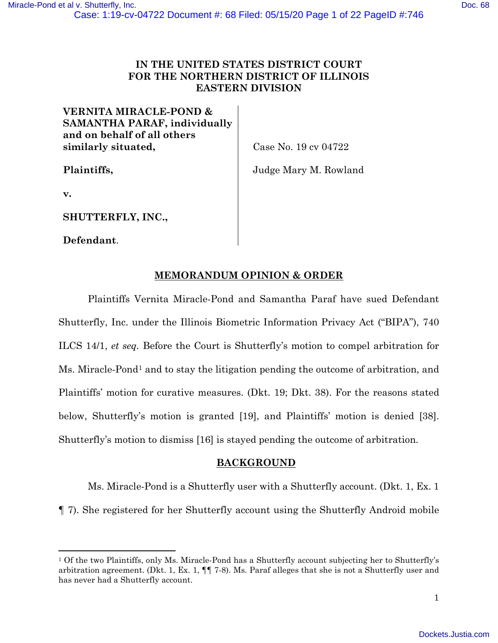# **IN THE UNITED STATES DISTRICT COURT FOR THE NORTHERN DISTRICT OF ILLINOIS EASTERN DIVISION**

# **VERNITA MIRACLE-POND & SAMANTHA PARAF, individually and on behalf of all others similarly situated,**

Case No. 19 cv 04722

**Plaintiffs,** 

Judge Mary M. Rowland

**v.**

**SHUTTERFLY, INC.,**

**Defendant**.

# **MEMORANDUM OPINION & ORDER**

Plaintiffs Vernita Miracle-Pond and Samantha Paraf have sued Defendant Shutterfly, Inc. under the Illinois Biometric Information Privacy Act ("BIPA"), 740 ILCS 14/1, *et seq.* Before the Court is Shutterfly's motion to compel arbitration for Ms. Miracle-Pond<sup>[1](#page-0-0)</sup> and to stay the litigation pending the outcome of arbitration, and Plaintiffs' motion for curative measures. (Dkt. 19; Dkt. 38). For the reasons stated below, Shutterfly's motion is granted [19], and Plaintiffs' motion is denied [38]. Shutterfly's motion to dismiss [16] is stayed pending the outcome of arbitration.

# **BACKGROUND**

Ms. Miracle-Pond is a Shutterfly user with a Shutterfly account. (Dkt. 1, Ex. 1 ¶ 7). She registered for her Shutterfly account using the Shutterfly Android mobile

<span id="page-0-0"></span><sup>1</sup> Of the two Plaintiffs, only Ms. Miracle-Pond has a Shutterfly account subjecting her to Shutterfly's arbitration agreement. (Dkt. 1, Ex. 1, ¶¶ 7-8). Ms. Paraf alleges that she is not a Shutterfly user and has never had a Shutterfly account.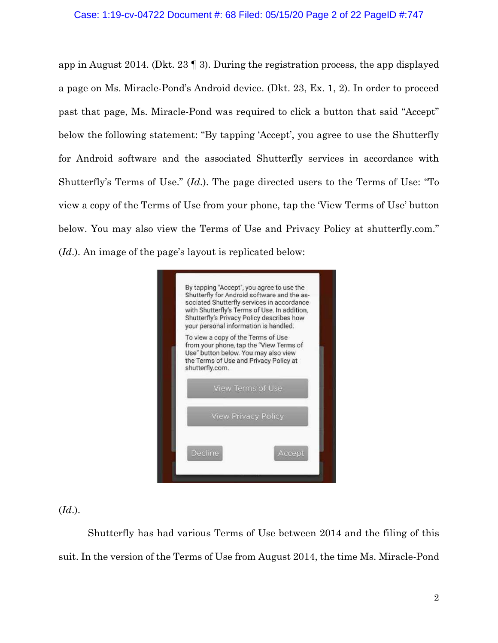app in August 2014. (Dkt. 23 ¶ 3). During the registration process, the app displayed a page on Ms. Miracle-Pond's Android device. (Dkt. 23, Ex. 1, 2). In order to proceed past that page, Ms. Miracle-Pond was required to click a button that said "Accept" below the following statement: "By tapping 'Accept', you agree to use the Shutterfly for Android software and the associated Shutterfly services in accordance with Shutterfly's Terms of Use." (*Id*.). The page directed users to the Terms of Use: "To view a copy of the Terms of Use from your phone, tap the 'View Terms of Use' button below. You may also view the Terms of Use and Privacy Policy at shutterfly.com." (*Id*.). An image of the page's layout is replicated below:



(*Id*.).

Shutterfly has had various Terms of Use between 2014 and the filing of this suit. In the version of the Terms of Use from August 2014, the time Ms. Miracle-Pond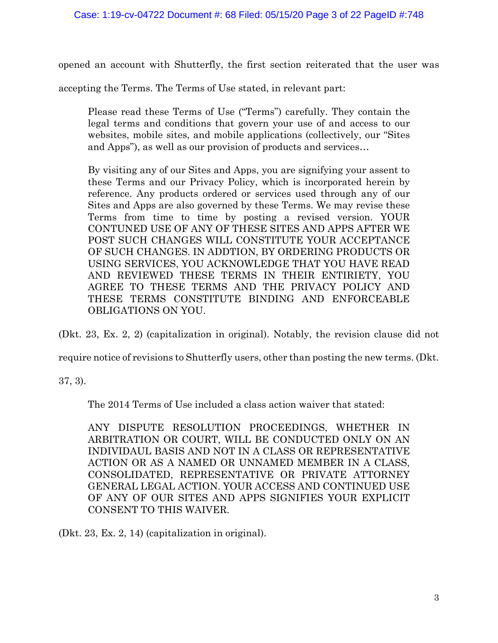opened an account with Shutterfly, the first section reiterated that the user was

accepting the Terms. The Terms of Use stated, in relevant part:

Please read these Terms of Use ("Terms") carefully. They contain the legal terms and conditions that govern your use of and access to our websites, mobile sites, and mobile applications (collectively, our "Sites and Apps"), as well as our provision of products and services…

By visiting any of our Sites and Apps, you are signifying your assent to these Terms and our Privacy Policy, which is incorporated herein by reference. Any products ordered or services used through any of our Sites and Apps are also governed by these Terms. We may revise these Terms from time to time by posting a revised version. YOUR CONTUNED USE OF ANY OF THESE SITES AND APPS AFTER WE POST SUCH CHANGES WILL CONSTITUTE YOUR ACCEPTANCE OF SUCH CHANGES. IN ADDTION, BY ORDERING PRODUCTS OR USING SERVICES, YOU ACKNOWLEDGE THAT YOU HAVE READ AND REVIEWED THESE TERMS IN THEIR ENTIRIETY, YOU AGREE TO THESE TERMS AND THE PRIVACY POLICY AND THESE TERMS CONSTITUTE BINDING AND ENFORCEABLE OBLIGATIONS ON YOU.

(Dkt. 23, Ex. 2, 2) (capitalization in original). Notably, the revision clause did not

require notice of revisions to Shutterfly users, other than posting the new terms. (Dkt.

37, 3).

The 2014 Terms of Use included a class action waiver that stated:

ANY DISPUTE RESOLUTION PROCEEDINGS, WHETHER IN ARBITRATION OR COURT, WILL BE CONDUCTED ONLY ON AN INDIVIDAUL BASIS AND NOT IN A CLASS OR REPRESENTATIVE ACTION OR AS A NAMED OR UNNAMED MEMBER IN A CLASS, CONSOLIDATED, REPRESENTATIVE OR PRIVATE ATTORNEY GENERAL LEGAL ACTION. YOUR ACCESS AND CONTINUED USE OF ANY OF OUR SITES AND APPS SIGNIFIES YOUR EXPLICIT CONSENT TO THIS WAIVER.

(Dkt. 23, Ex. 2, 14) (capitalization in original).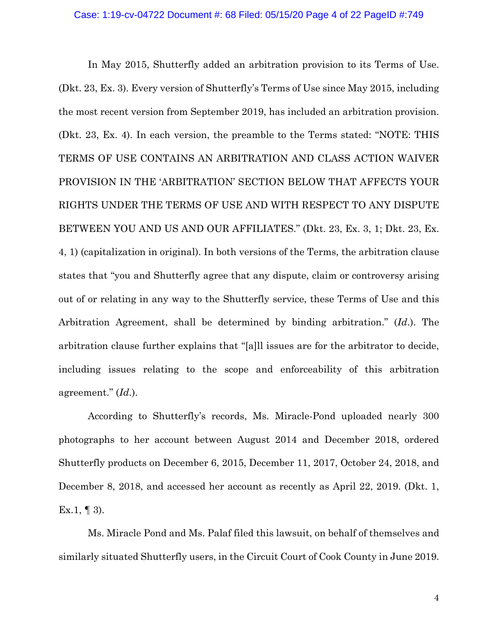In May 2015, Shutterfly added an arbitration provision to its Terms of Use. (Dkt. 23, Ex. 3). Every version of Shutterfly's Terms of Use since May 2015, including the most recent version from September 2019, has included an arbitration provision. (Dkt. 23, Ex. 4). In each version, the preamble to the Terms stated: "NOTE: THIS TERMS OF USE CONTAINS AN ARBITRATION AND CLASS ACTION WAIVER PROVISION IN THE 'ARBITRATION' SECTION BELOW THAT AFFECTS YOUR RIGHTS UNDER THE TERMS OF USE AND WITH RESPECT TO ANY DISPUTE BETWEEN YOU AND US AND OUR AFFILIATES." (Dkt. 23, Ex. 3, 1; Dkt. 23, Ex. 4, 1) (capitalization in original). In both versions of the Terms, the arbitration clause states that "you and Shutterfly agree that any dispute, claim or controversy arising out of or relating in any way to the Shutterfly service, these Terms of Use and this Arbitration Agreement, shall be determined by binding arbitration." (*Id*.). The arbitration clause further explains that "[a]ll issues are for the arbitrator to decide, including issues relating to the scope and enforceability of this arbitration agreement." (*Id*.).

According to Shutterfly's records, Ms. Miracle-Pond uploaded nearly 300 photographs to her account between August 2014 and December 2018, ordered Shutterfly products on December 6, 2015, December 11, 2017, October 24, 2018, and December 8, 2018, and accessed her account as recently as April 22, 2019. (Dkt. 1, Ex.1,  $\P$  3).

Ms. Miracle Pond and Ms. Palaf filed this lawsuit, on behalf of themselves and similarly situated Shutterfly users, in the Circuit Court of Cook County in June 2019.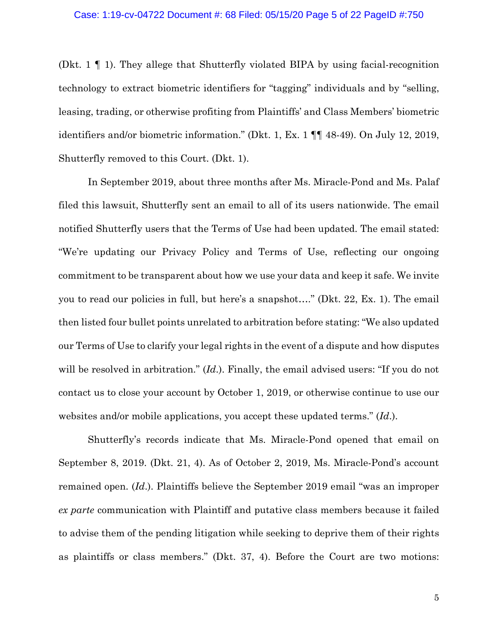(Dkt. 1 ¶ 1). They allege that Shutterfly violated BIPA by using facial-recognition technology to extract biometric identifiers for "tagging" individuals and by "selling, leasing, trading, or otherwise profiting from Plaintiffs' and Class Members' biometric identifiers and/or biometric information." (Dkt. 1, Ex. 1 ¶¶ 48-49). On July 12, 2019, Shutterfly removed to this Court. (Dkt. 1).

In September 2019, about three months after Ms. Miracle-Pond and Ms. Palaf filed this lawsuit, Shutterfly sent an email to all of its users nationwide. The email notified Shutterfly users that the Terms of Use had been updated. The email stated: "We're updating our Privacy Policy and Terms of Use, reflecting our ongoing commitment to be transparent about how we use your data and keep it safe. We invite you to read our policies in full, but here's a snapshot…." (Dkt. 22, Ex. 1). The email then listed four bullet points unrelated to arbitration before stating: "We also updated our Terms of Use to clarify your legal rights in the event of a dispute and how disputes will be resolved in arbitration." (*Id*.). Finally, the email advised users: "If you do not contact us to close your account by October 1, 2019, or otherwise continue to use our websites and/or mobile applications, you accept these updated terms." (*Id*.).

Shutterfly's records indicate that Ms. Miracle-Pond opened that email on September 8, 2019. (Dkt. 21, 4). As of October 2, 2019, Ms. Miracle-Pond's account remained open. (*Id*.). Plaintiffs believe the September 2019 email "was an improper *ex parte* communication with Plaintiff and putative class members because it failed to advise them of the pending litigation while seeking to deprive them of their rights as plaintiffs or class members." (Dkt. 37, 4). Before the Court are two motions: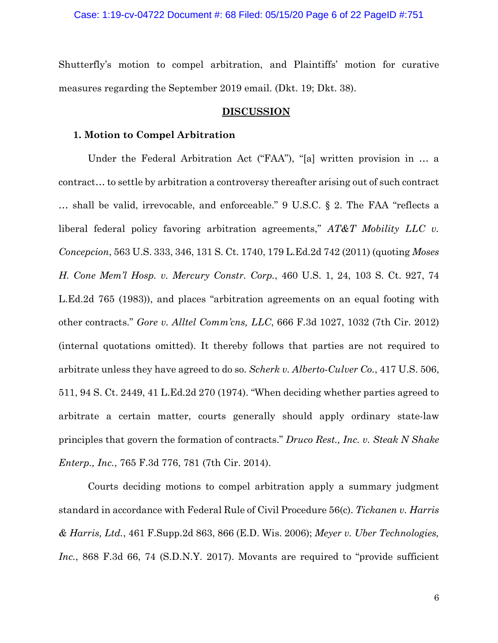Shutterfly's motion to compel arbitration, and Plaintiffs' motion for curative measures regarding the September 2019 email. (Dkt. 19; Dkt. 38).

#### **DISCUSSION**

### **1. Motion to Compel Arbitration**

Under the Federal Arbitration Act ("FAA"), "[a] written provision in … a contract… to settle by arbitration a controversy thereafter arising out of such contract … shall be valid, irrevocable, and enforceable." 9 U.S.C. § 2. The FAA "reflects a liberal federal policy favoring arbitration agreements," *AT&T Mobility LLC v. Concepcion*, 563 U.S. 333, 346, 131 S. Ct. 1740, 179 L.Ed.2d 742 (2011) (quoting *Moses H. Cone Mem'l Hosp. v. Mercury Constr. Corp.*, 460 U.S. 1, 24, 103 S. Ct. 927, 74 L.Ed.2d 765 (1983)), and places "arbitration agreements on an equal footing with other contracts." *Gore v. Alltel Comm'cns, LLC*, 666 F.3d 1027, 1032 (7th Cir. 2012) (internal quotations omitted). It thereby follows that parties are not required to arbitrate unless they have agreed to do so. *Scherk v. Alberto-Culver Co.*, 417 U.S. 506, 511, 94 S. Ct. 2449, 41 L.Ed.2d 270 (1974). "When deciding whether parties agreed to arbitrate a certain matter, courts generally should apply ordinary state-law principles that govern the formation of contracts." *Druco Rest., Inc. v. Steak N Shake Enterp., Inc.*, 765 F.3d 776, 781 (7th Cir. 2014).

Courts deciding motions to compel arbitration apply a summary judgment standard in accordance with Federal Rule of Civil Procedure 56(c). *Tickanen v. Harris & Harris, Ltd.*, 461 F.Supp.2d 863, 866 (E.D. Wis. 2006); *Meyer v. Uber Technologies, Inc.*, 868 F.3d 66, 74 (S.D.N.Y. 2017). Movants are required to "provide sufficient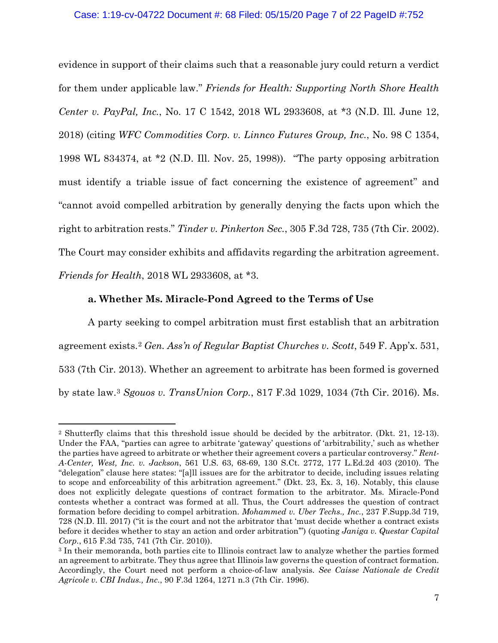## Case: 1:19-cv-04722 Document #: 68 Filed: 05/15/20 Page 7 of 22 PageID #:752

evidence in support of their claims such that a reasonable jury could return a verdict for them under applicable law." *Friends for Health: Supporting North Shore Health Center v. PayPal, Inc.*, No. 17 C 1542, 2018 WL 2933608, at \*3 (N.D. Ill. June 12, 2018) (citing *WFC Commodities Corp. v. Linnco Futures Group, Inc.*, No. 98 C 1354, 1998 WL 834374, at \*2 (N.D. Ill. Nov. 25, 1998)). "The party opposing arbitration must identify a triable issue of fact concerning the existence of agreement" and "cannot avoid compelled arbitration by generally denying the facts upon which the right to arbitration rests." *Tinder v. Pinkerton Sec.*, 305 F.3d 728, 735 (7th Cir. 2002). The Court may consider exhibits and affidavits regarding the arbitration agreement. *Friends for Health*, 2018 WL 2933608, at \*3.

# **a. Whether Ms. Miracle-Pond Agreed to the Terms of Use**

A party seeking to compel arbitration must first establish that an arbitration agreement exists. [2](#page-6-0) *Gen. Ass'n of Regular Baptist Churches v. Scott*, 549 F. App'x. 531, 533 (7th Cir. 2013). Whether an agreement to arbitrate has been formed is governed by state law.[3](#page-6-1) *Sgouos v. TransUnion Corp.*, 817 F.3d 1029, 1034 (7th Cir. 2016). Ms.

<span id="page-6-0"></span><sup>2</sup> Shutterfly claims that this threshold issue should be decided by the arbitrator. (Dkt. 21, 12-13). Under the FAA, "parties can agree to arbitrate 'gateway' questions of 'arbitrability,' such as whether the parties have agreed to arbitrate or whether their agreement covers a particular controversy." *Rent-A-Center, West, Inc. v. Jackson*, 561 U.S. 63, 68-69, 130 S.Ct. 2772, 177 L.Ed.2d 403 (2010). The "delegation" clause here states: "[a]ll issues are for the arbitrator to decide, including issues relating to scope and enforceability of this arbitration agreement." (Dkt. 23, Ex. 3, 16). Notably, this clause does not explicitly delegate questions of contract formation to the arbitrator. Ms. Miracle-Pond contests whether a contract was formed at all. Thus, the Court addresses the question of contract formation before deciding to compel arbitration. *Mohammed v. Uber Techs., Inc.*, 237 F.Supp.3d 719, 728 (N.D. Ill. 2017) ("it is the court and not the arbitrator that 'must decide whether a contract exists before it decides whether to stay an action and order arbitration'") (quoting *Janiga v. Questar Capital Corp.*, 615 F.3d 735, 741 (7th Cir. 2010)).

<span id="page-6-1"></span><sup>3</sup> In their memoranda, both parties cite to Illinois contract law to analyze whether the parties formed an agreement to arbitrate. They thus agree that Illinois law governs the question of contract formation. Accordingly, the Court need not perform a choice-of-law analysis. *See Caisse Nationale de Credit Agricole v. CBI Indus., Inc.*, 90 F.3d 1264, 1271 n.3 (7th Cir. 1996).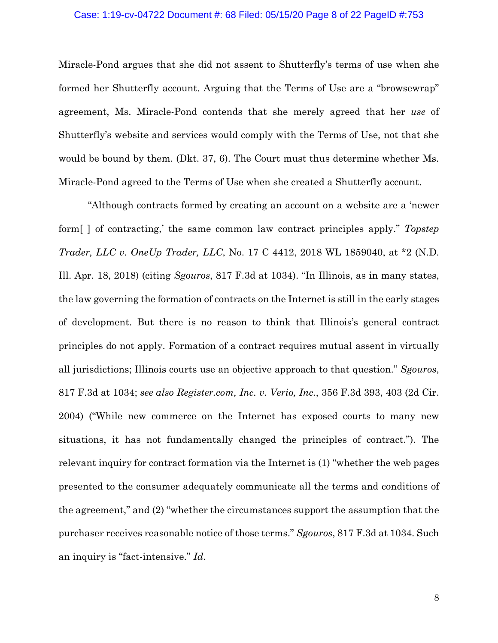### Case: 1:19-cv-04722 Document #: 68 Filed: 05/15/20 Page 8 of 22 PageID #:753

Miracle-Pond argues that she did not assent to Shutterfly's terms of use when she formed her Shutterfly account. Arguing that the Terms of Use are a "browsewrap" agreement, Ms. Miracle-Pond contends that she merely agreed that her *use* of Shutterfly's website and services would comply with the Terms of Use, not that she would be bound by them. (Dkt. 37, 6). The Court must thus determine whether Ms. Miracle-Pond agreed to the Terms of Use when she created a Shutterfly account.

"Although contracts formed by creating an account on a website are a 'newer form[ ] of contracting,' the same common law contract principles apply." *Topstep Trader, LLC v. OneUp Trader, LLC*, No. 17 C 4412, 2018 WL 1859040, at \*2 (N.D. Ill. Apr. 18, 2018) (citing *Sgouros*, 817 F.3d at 1034). "In Illinois, as in many states, the law governing the formation of contracts on the Internet is still in the early stages of development. But there is no reason to think that Illinois's general contract principles do not apply. Formation of a contract requires mutual assent in virtually all jurisdictions; Illinois courts use an objective approach to that question." *Sgouros*, 817 F.3d at 1034; *see also Register.com, Inc. v. Verio, Inc.*, 356 F.3d 393, 403 (2d Cir. 2004) ("While new commerce on the Internet has exposed courts to many new situations, it has not fundamentally changed the principles of contract."). The relevant inquiry for contract formation via the Internet is (1) "whether the web pages presented to the consumer adequately communicate all the terms and conditions of the agreement," and (2) "whether the circumstances support the assumption that the purchaser receives reasonable notice of those terms." *Sgouros*, 817 F.3d at 1034. Such an inquiry is "fact-intensive." *Id*.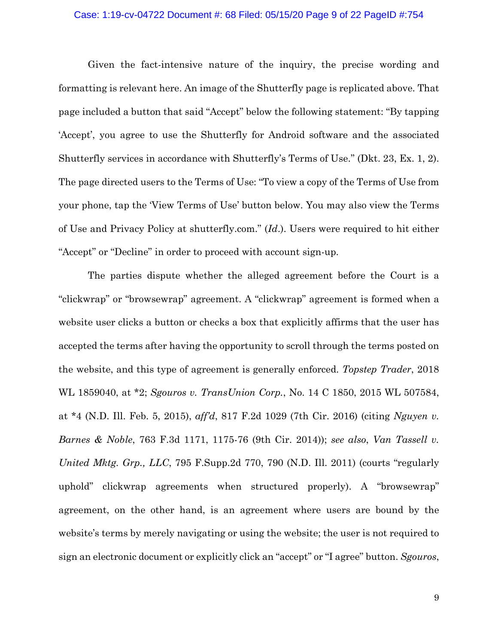### Case: 1:19-cv-04722 Document #: 68 Filed: 05/15/20 Page 9 of 22 PageID #:754

Given the fact-intensive nature of the inquiry, the precise wording and formatting is relevant here. An image of the Shutterfly page is replicated above. That page included a button that said "Accept" below the following statement: "By tapping 'Accept', you agree to use the Shutterfly for Android software and the associated Shutterfly services in accordance with Shutterfly's Terms of Use." (Dkt. 23, Ex. 1, 2). The page directed users to the Terms of Use: "To view a copy of the Terms of Use from your phone, tap the 'View Terms of Use' button below. You may also view the Terms of Use and Privacy Policy at shutterfly.com." (*Id*.). Users were required to hit either "Accept" or "Decline" in order to proceed with account sign-up.

The parties dispute whether the alleged agreement before the Court is a "clickwrap" or "browsewrap" agreement. A "clickwrap" agreement is formed when a website user clicks a button or checks a box that explicitly affirms that the user has accepted the terms after having the opportunity to scroll through the terms posted on the website, and this type of agreement is generally enforced. *Topstep Trader*, 2018 WL 1859040, at \*2; *Sgouros v. TransUnion Corp.*, No. 14 C 1850, 2015 WL 507584, at \*4 (N.D. Ill. Feb. 5, 2015), *aff'd*, 817 F.2d 1029 (7th Cir. 2016) (citing *Nguyen v. Barnes & Noble*, 763 F.3d 1171, 1175-76 (9th Cir. 2014)); *see also*, *Van Tassell v. United Mktg. Grp., LLC*, 795 F.Supp.2d 770, 790 (N.D. Ill. 2011) (courts "regularly uphold" clickwrap agreements when structured properly). A "browsewrap" agreement, on the other hand, is an agreement where users are bound by the website's terms by merely navigating or using the website; the user is not required to sign an electronic document or explicitly click an "accept" or "I agree" button. *Sgouros*,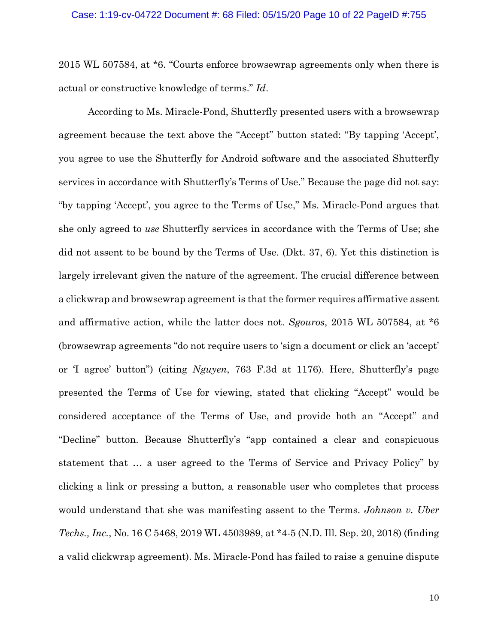2015 WL 507584, at \*6. "Courts enforce browsewrap agreements only when there is actual or constructive knowledge of terms." *Id*.

According to Ms. Miracle-Pond, Shutterfly presented users with a browsewrap agreement because the text above the "Accept" button stated: "By tapping 'Accept', you agree to use the Shutterfly for Android software and the associated Shutterfly services in accordance with Shutterfly's Terms of Use." Because the page did not say: "by tapping 'Accept', you agree to the Terms of Use," Ms. Miracle-Pond argues that she only agreed to *use* Shutterfly services in accordance with the Terms of Use; she did not assent to be bound by the Terms of Use. (Dkt. 37, 6). Yet this distinction is largely irrelevant given the nature of the agreement. The crucial difference between a clickwrap and browsewrap agreement is that the former requires affirmative assent and affirmative action, while the latter does not. *Sgouros*, 2015 WL 507584, at \*6 (browsewrap agreements "do not require users to 'sign a document or click an 'accept' or 'I agree' button") (citing *Nguyen*, 763 F.3d at 1176). Here, Shutterfly's page presented the Terms of Use for viewing, stated that clicking "Accept" would be considered acceptance of the Terms of Use, and provide both an "Accept" and "Decline" button. Because Shutterfly's "app contained a clear and conspicuous statement that … a user agreed to the Terms of Service and Privacy Policy" by clicking a link or pressing a button, a reasonable user who completes that process would understand that she was manifesting assent to the Terms. *Johnson v. Uber Techs., Inc.*, No. 16 C 5468, 2019 WL 4503989, at \*4-5 (N.D. Ill. Sep. 20, 2018) (finding a valid clickwrap agreement). Ms. Miracle-Pond has failed to raise a genuine dispute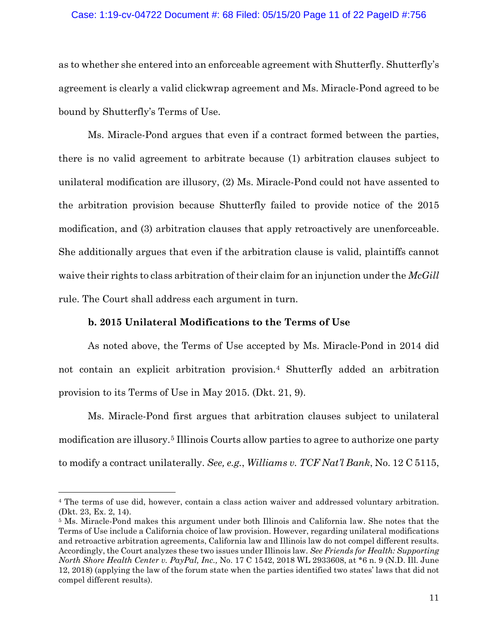#### Case: 1:19-cv-04722 Document #: 68 Filed: 05/15/20 Page 11 of 22 PageID #:756

as to whether she entered into an enforceable agreement with Shutterfly. Shutterfly's agreement is clearly a valid clickwrap agreement and Ms. Miracle-Pond agreed to be bound by Shutterfly's Terms of Use.

Ms. Miracle-Pond argues that even if a contract formed between the parties, there is no valid agreement to arbitrate because (1) arbitration clauses subject to unilateral modification are illusory, (2) Ms. Miracle-Pond could not have assented to the arbitration provision because Shutterfly failed to provide notice of the 2015 modification, and (3) arbitration clauses that apply retroactively are unenforceable. She additionally argues that even if the arbitration clause is valid, plaintiffs cannot waive their rights to class arbitration of their claim for an injunction under the *McGill*  rule. The Court shall address each argument in turn.

#### **b. 2015 Unilateral Modifications to the Terms of Use**

As noted above, the Terms of Use accepted by Ms. Miracle-Pond in 2014 did not contain an explicit arbitration provision.[4](#page-10-0) Shutterfly added an arbitration provision to its Terms of Use in May 2015. (Dkt. 21, 9).

Ms. Miracle-Pond first argues that arbitration clauses subject to unilateral modification are illusory. [5](#page-10-1) Illinois Courts allow parties to agree to authorize one party to modify a contract unilaterally. *See, e.g.*, *Williams v. TCF Nat'l Bank*, No. 12 C 5115,

<span id="page-10-0"></span><sup>4</sup> The terms of use did, however, contain a class action waiver and addressed voluntary arbitration. (Dkt. 23, Ex. 2, 14).

<span id="page-10-1"></span><sup>5</sup> Ms. Miracle-Pond makes this argument under both Illinois and California law. She notes that the Terms of Use include a California choice of law provision. However, regarding unilateral modifications and retroactive arbitration agreements, California law and Illinois law do not compel different results. Accordingly, the Court analyzes these two issues under Illinois law. *See Friends for Health: Supporting North Shore Health Center v. PayPal, Inc.,* No. 17 C 1542, 2018 WL 2933608, at \*6 n. 9 (N.D. Ill. June 12, 2018) (applying the law of the forum state when the parties identified two states' laws that did not compel different results).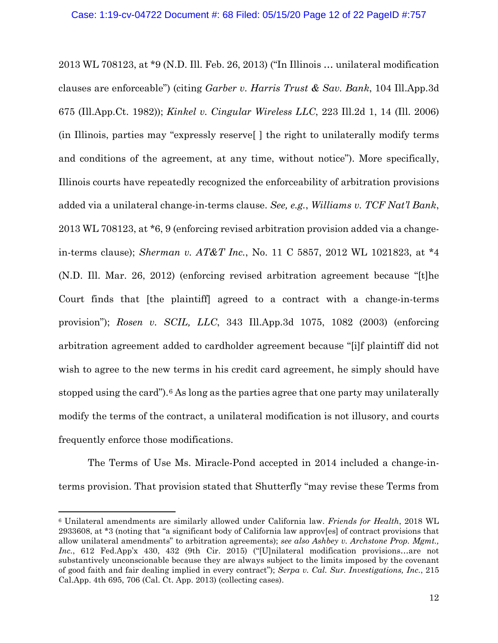2013 WL 708123, at \*9 (N.D. Ill. Feb. 26, 2013) ("In Illinois … unilateral modification clauses are enforceable") (citing *Garber v. Harris Trust & Sav. Bank*, 104 Ill.App.3d 675 (Ill.App.Ct. 1982)); *Kinkel v. Cingular Wireless LLC*, 223 Ill.2d 1, 14 (Ill. 2006) (in Illinois, parties may "expressly reserve[ ] the right to unilaterally modify terms and conditions of the agreement, at any time, without notice"). More specifically, Illinois courts have repeatedly recognized the enforceability of arbitration provisions added via a unilateral change-in-terms clause. *See, e.g.*, *Williams v. TCF Nat'l Bank*, 2013 WL 708123, at \*6, 9 (enforcing revised arbitration provision added via a changein-terms clause); *Sherman v. AT&T Inc.*, No. 11 C 5857, 2012 WL 1021823, at \*4 (N.D. Ill. Mar. 26, 2012) (enforcing revised arbitration agreement because "[t]he Court finds that [the plaintiff] agreed to a contract with a change-in-terms provision"); *Rosen v. SCIL, LLC*, 343 Ill.App.3d 1075, 1082 (2003) (enforcing arbitration agreement added to cardholder agreement because "[i]f plaintiff did not wish to agree to the new terms in his credit card agreement, he simply should have stopped using the card").<sup>[6](#page-11-0)</sup> As long as the parties agree that one party may unilaterally modify the terms of the contract, a unilateral modification is not illusory, and courts frequently enforce those modifications.

The Terms of Use Ms. Miracle-Pond accepted in 2014 included a change-interms provision. That provision stated that Shutterfly "may revise these Terms from

<span id="page-11-0"></span><sup>6</sup> Unilateral amendments are similarly allowed under California law. *Friends for Health*, 2018 WL 2933608, at \*3 (noting that "a significant body of California law approv[es] of contract provisions that allow unilateral amendments" to arbitration agreements); *see also Ashbey v. Archstone Prop. Mgmt., Inc.*, 612 Fed.App'x 430, 432 (9th Cir. 2015) ("[U]nilateral modification provisions…are not substantively unconscionable because they are always subject to the limits imposed by the covenant of good faith and fair dealing implied in every contract"); *Serpa v. Cal. Sur. Investigations, Inc.*, 215 Cal.App. 4th 695, 706 (Cal. Ct. App. 2013) (collecting cases).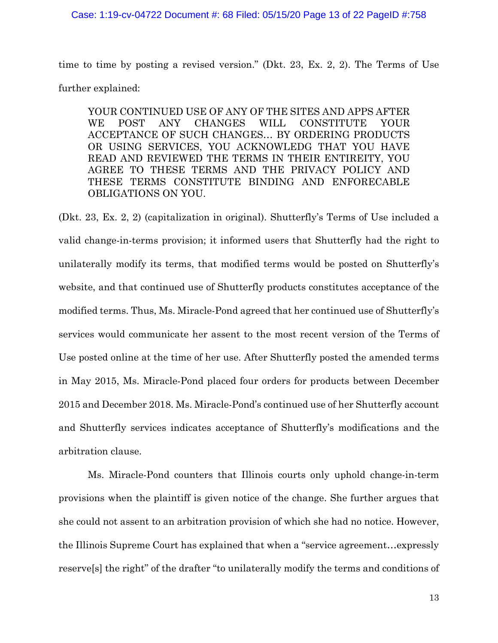#### Case: 1:19-cv-04722 Document #: 68 Filed: 05/15/20 Page 13 of 22 PageID #:758

time to time by posting a revised version." (Dkt. 23, Ex. 2, 2). The Terms of Use further explained:

YOUR CONTINUED USE OF ANY OF THE SITES AND APPS AFTER WE POST ANY CHANGES WILL CONSTITUTE YOUR ACCEPTANCE OF SUCH CHANGES… BY ORDERING PRODUCTS OR USING SERVICES, YOU ACKNOWLEDG THAT YOU HAVE READ AND REVIEWED THE TERMS IN THEIR ENTIREITY, YOU AGREE TO THESE TERMS AND THE PRIVACY POLICY AND THESE TERMS CONSTITUTE BINDING AND ENFORECABLE OBLIGATIONS ON YOU.

(Dkt. 23, Ex. 2, 2) (capitalization in original). Shutterfly's Terms of Use included a valid change-in-terms provision; it informed users that Shutterfly had the right to unilaterally modify its terms, that modified terms would be posted on Shutterfly's website, and that continued use of Shutterfly products constitutes acceptance of the modified terms. Thus, Ms. Miracle-Pond agreed that her continued use of Shutterfly's services would communicate her assent to the most recent version of the Terms of Use posted online at the time of her use. After Shutterfly posted the amended terms in May 2015, Ms. Miracle-Pond placed four orders for products between December 2015 and December 2018. Ms. Miracle-Pond's continued use of her Shutterfly account and Shutterfly services indicates acceptance of Shutterfly's modifications and the arbitration clause.

Ms. Miracle-Pond counters that Illinois courts only uphold change-in-term provisions when the plaintiff is given notice of the change. She further argues that she could not assent to an arbitration provision of which she had no notice. However, the Illinois Supreme Court has explained that when a "service agreement…expressly reserve[s] the right" of the drafter "to unilaterally modify the terms and conditions of

13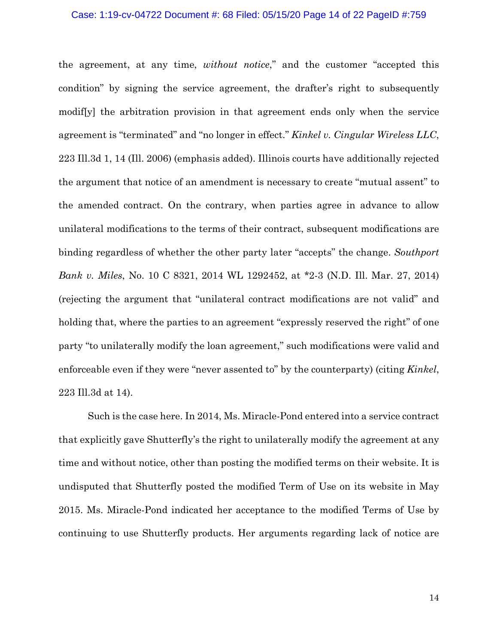### Case: 1:19-cv-04722 Document #: 68 Filed: 05/15/20 Page 14 of 22 PageID #:759

the agreement, at any time, *without notice*," and the customer "accepted this condition" by signing the service agreement, the drafter's right to subsequently modif[y] the arbitration provision in that agreement ends only when the service agreement is "terminated" and "no longer in effect." *Kinkel v. Cingular Wireless LLC*, 223 Ill.3d 1, 14 (Ill. 2006) (emphasis added). Illinois courts have additionally rejected the argument that notice of an amendment is necessary to create "mutual assent" to the amended contract. On the contrary, when parties agree in advance to allow unilateral modifications to the terms of their contract, subsequent modifications are binding regardless of whether the other party later "accepts" the change. *Southport Bank v. Miles*, No. 10 C 8321, 2014 WL 1292452, at \*2-3 (N.D. Ill. Mar. 27, 2014) (rejecting the argument that "unilateral contract modifications are not valid" and holding that, where the parties to an agreement "expressly reserved the right" of one party "to unilaterally modify the loan agreement," such modifications were valid and enforceable even if they were "never assented to" by the counterparty) (citing *Kinkel*, 223 Ill.3d at 14).

Such is the case here. In 2014, Ms. Miracle-Pond entered into a service contract that explicitly gave Shutterfly's the right to unilaterally modify the agreement at any time and without notice, other than posting the modified terms on their website. It is undisputed that Shutterfly posted the modified Term of Use on its website in May 2015. Ms. Miracle-Pond indicated her acceptance to the modified Terms of Use by continuing to use Shutterfly products. Her arguments regarding lack of notice are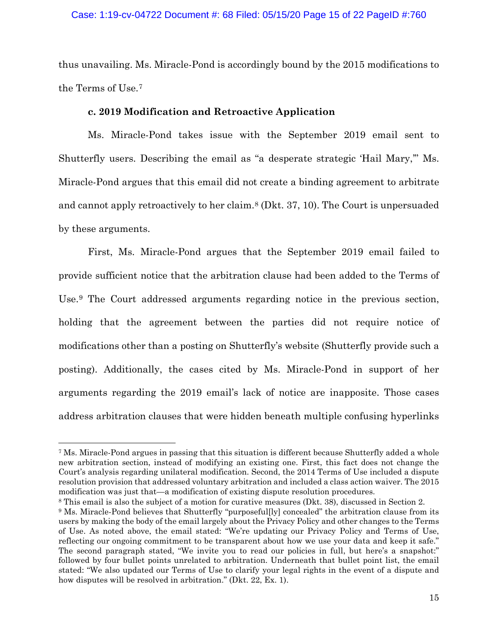thus unavailing. Ms. Miracle-Pond is accordingly bound by the 2015 modifications to the Terms of Use. [7](#page-14-0)

# **c. 2019 Modification and Retroactive Application**

Ms. Miracle-Pond takes issue with the September 2019 email sent to Shutterfly users. Describing the email as "a desperate strategic 'Hail Mary,'" Ms. Miracle-Pond argues that this email did not create a binding agreement to arbitrate and cannot apply retroactively to her claim.[8](#page-14-1) (Dkt. 37, 10). The Court is unpersuaded by these arguments.

First, Ms. Miracle-Pond argues that the September 2019 email failed to provide sufficient notice that the arbitration clause had been added to the Terms of Use.[9](#page-14-2) The Court addressed arguments regarding notice in the previous section, holding that the agreement between the parties did not require notice of modifications other than a posting on Shutterfly's website (Shutterfly provide such a posting). Additionally, the cases cited by Ms. Miracle-Pond in support of her arguments regarding the 2019 email's lack of notice are inapposite. Those cases address arbitration clauses that were hidden beneath multiple confusing hyperlinks

<span id="page-14-1"></span><sup>8</sup> This email is also the subject of a motion for curative measures (Dkt. 38), discussed in Section 2.

<span id="page-14-0"></span><sup>7</sup> Ms. Miracle-Pond argues in passing that this situation is different because Shutterfly added a whole new arbitration section, instead of modifying an existing one. First, this fact does not change the Court's analysis regarding unilateral modification. Second, the 2014 Terms of Use included a dispute resolution provision that addressed voluntary arbitration and included a class action waiver. The 2015 modification was just that—a modification of existing dispute resolution procedures.

<span id="page-14-2"></span><sup>9</sup> Ms. Miracle-Pond believes that Shutterfly "purposeful[ly] concealed" the arbitration clause from its users by making the body of the email largely about the Privacy Policy and other changes to the Terms of Use. As noted above, the email stated: "We're updating our Privacy Policy and Terms of Use, reflecting our ongoing commitment to be transparent about how we use your data and keep it safe." The second paragraph stated, "We invite you to read our policies in full, but here's a snapshot:" followed by four bullet points unrelated to arbitration. Underneath that bullet point list, the email stated: "We also updated our Terms of Use to clarify your legal rights in the event of a dispute and how disputes will be resolved in arbitration." (Dkt. 22, Ex. 1).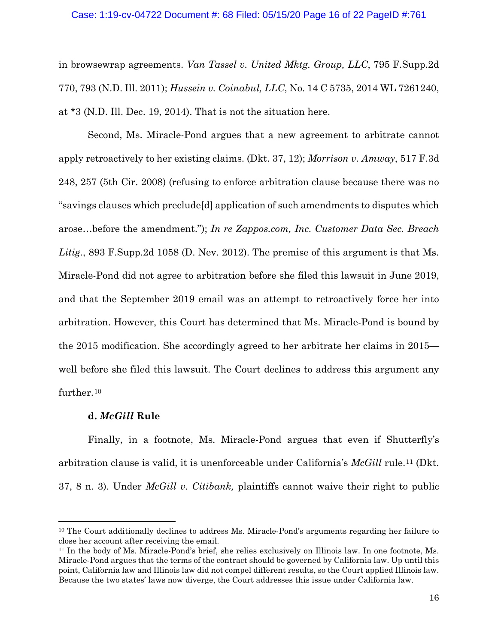#### Case: 1:19-cv-04722 Document #: 68 Filed: 05/15/20 Page 16 of 22 PageID #:761

in browsewrap agreements. *Van Tassel v. United Mktg. Group, LLC*, 795 F.Supp.2d 770, 793 (N.D. Ill. 2011); *Hussein v. Coinabul, LLC*, No. 14 C 5735, 2014 WL 7261240, at \*3 (N.D. Ill. Dec. 19, 2014). That is not the situation here.

Second, Ms. Miracle-Pond argues that a new agreement to arbitrate cannot apply retroactively to her existing claims. (Dkt. 37, 12); *Morrison v. Amway*, 517 F.3d 248, 257 (5th Cir. 2008) (refusing to enforce arbitration clause because there was no "savings clauses which preclude[d] application of such amendments to disputes which arose…before the amendment."); *In re Zappos.com, Inc. Customer Data Sec. Breach Litig.*, 893 F.Supp.2d 1058 (D. Nev. 2012). The premise of this argument is that Ms. Miracle-Pond did not agree to arbitration before she filed this lawsuit in June 2019, and that the September 2019 email was an attempt to retroactively force her into arbitration. However, this Court has determined that Ms. Miracle-Pond is bound by the 2015 modification. She accordingly agreed to her arbitrate her claims in 2015 well before she filed this lawsuit. The Court declines to address this argument any further.<sup>[10](#page-15-0)</sup>

## **d.** *McGill* **Rule**

Finally, in a footnote, Ms. Miracle-Pond argues that even if Shutterfly's arbitration clause is valid, it is unenforceable under California's *McGill* rule.[11](#page-15-1) (Dkt. 37, 8 n. 3). Under *McGill v. Citibank,* plaintiffs cannot waive their right to public

<span id="page-15-0"></span><sup>&</sup>lt;sup>10</sup> The Court additionally declines to address Ms. Miracle-Pond's arguments regarding her failure to close her account after receiving the email.

<span id="page-15-1"></span><sup>11</sup> In the body of Ms. Miracle-Pond's brief, she relies exclusively on Illinois law. In one footnote, Ms. Miracle-Pond argues that the terms of the contract should be governed by California law. Up until this point, California law and Illinois law did not compel different results, so the Court applied Illinois law. Because the two states' laws now diverge, the Court addresses this issue under California law.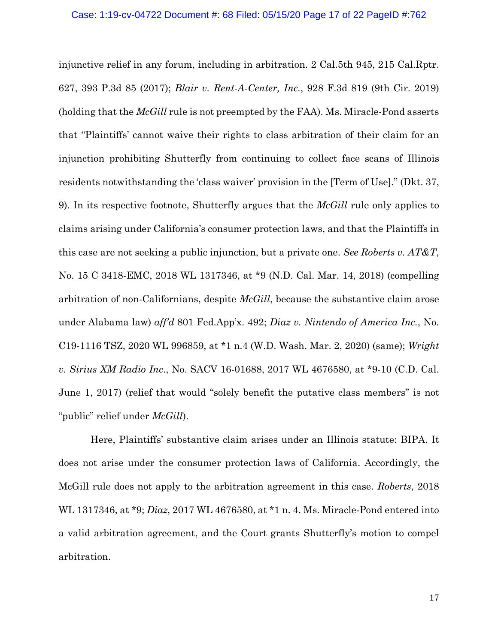injunctive relief in any forum, including in arbitration. 2 Cal.5th 945, 215 Cal.Rptr. 627, 393 P.3d 85 (2017); *Blair v. Rent-A-Center, Inc.*, 928 F.3d 819 (9th Cir. 2019) (holding that the *McGill* rule is not preempted by the FAA). Ms. Miracle-Pond asserts that "Plaintiffs' cannot waive their rights to class arbitration of their claim for an injunction prohibiting Shutterfly from continuing to collect face scans of Illinois residents notwithstanding the 'class waiver' provision in the [Term of Use]." (Dkt. 37, 9). In its respective footnote, Shutterfly argues that the *McGill* rule only applies to claims arising under California's consumer protection laws, and that the Plaintiffs in this case are not seeking a public injunction, but a private one. *See Roberts v. AT&T*, No. 15 C 3418-EMC, 2018 WL 1317346, at \*9 (N.D. Cal. Mar. 14, 2018) (compelling arbitration of non-Californians, despite *McGill*, because the substantive claim arose under Alabama law) *aff'd* 801 Fed.App'x. 492; *Diaz v. Nintendo of America Inc.*, No. C19-1116 TSZ, 2020 WL 996859, at \*1 n.4 (W.D. Wash. Mar. 2, 2020) (same); *Wright v. Sirius XM Radio Inc*., No. SACV 16-01688, 2017 WL 4676580, at \*9-10 (C.D. Cal. June 1, 2017) (relief that would "solely benefit the putative class members" is not "public" relief under *McGill*).

 Here, Plaintiffs' substantive claim arises under an Illinois statute: BIPA. It does not arise under the consumer protection laws of California. Accordingly, the McGill rule does not apply to the arbitration agreement in this case. *Roberts*, 2018 WL 1317346, at \*9; *Diaz*, 2017 WL 4676580, at \*1 n. 4. Ms. Miracle-Pond entered into a valid arbitration agreement, and the Court grants Shutterfly's motion to compel arbitration.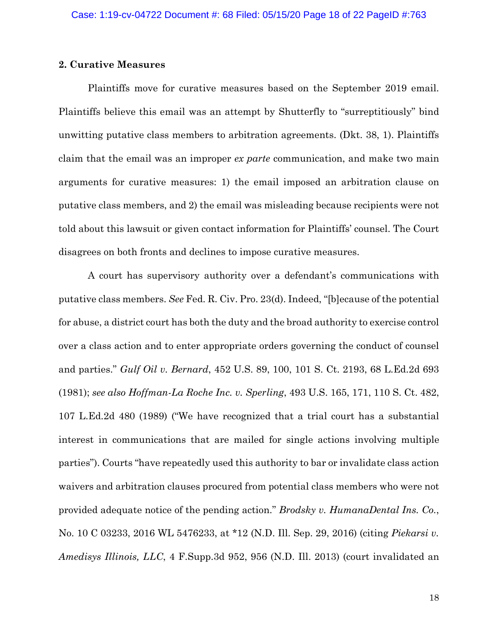## **2. Curative Measures**

Plaintiffs move for curative measures based on the September 2019 email. Plaintiffs believe this email was an attempt by Shutterfly to "surreptitiously" bind unwitting putative class members to arbitration agreements. (Dkt. 38, 1). Plaintiffs claim that the email was an improper *ex parte* communication, and make two main arguments for curative measures: 1) the email imposed an arbitration clause on putative class members, and 2) the email was misleading because recipients were not told about this lawsuit or given contact information for Plaintiffs' counsel. The Court disagrees on both fronts and declines to impose curative measures.

A court has supervisory authority over a defendant's communications with putative class members. *See* Fed. R. Civ. Pro. 23(d). Indeed, "[b]ecause of the potential for abuse, a district court has both the duty and the broad authority to exercise control over a class action and to enter appropriate orders governing the conduct of counsel and parties." *Gulf Oil v. Bernard*, 452 U.S. 89, 100, 101 S. Ct. 2193, 68 L.Ed.2d 693 (1981); *see also Hoffman-La Roche Inc. v. Sperling*, 493 U.S. 165, 171, 110 S. Ct. 482, 107 L.Ed.2d 480 (1989) ("We have recognized that a trial court has a substantial interest in communications that are mailed for single actions involving multiple parties"). Courts "have repeatedly used this authority to bar or invalidate class action waivers and arbitration clauses procured from potential class members who were not provided adequate notice of the pending action." *Brodsky v. HumanaDental Ins. Co.*, No. 10 C 03233, 2016 WL 5476233, at \*12 (N.D. Ill. Sep. 29, 2016) (citing *Piekarsi v. Amedisys Illinois, LLC*, 4 F.Supp.3d 952, 956 (N.D. Ill. 2013) (court invalidated an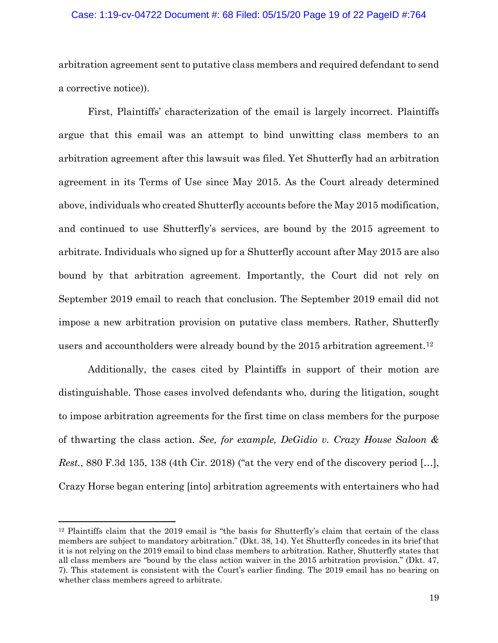#### Case: 1:19-cv-04722 Document #: 68 Filed: 05/15/20 Page 19 of 22 PageID #:764

arbitration agreement sent to putative class members and required defendant to send a corrective notice)).

First, Plaintiffs' characterization of the email is largely incorrect. Plaintiffs argue that this email was an attempt to bind unwitting class members to an arbitration agreement after this lawsuit was filed. Yet Shutterfly had an arbitration agreement in its Terms of Use since May 2015. As the Court already determined above, individuals who created Shutterfly accounts before the May 2015 modification, and continued to use Shutterfly's services, are bound by the 2015 agreement to arbitrate. Individuals who signed up for a Shutterfly account after May 2015 are also bound by that arbitration agreement. Importantly, the Court did not rely on September 2019 email to reach that conclusion. The September 2019 email did not impose a new arbitration provision on putative class members. Rather, Shutterfly users and accountholders were already bound by the 2015 arbitration agreement.<sup>[12](#page-18-0)</sup>

Additionally, the cases cited by Plaintiffs in support of their motion are distinguishable. Those cases involved defendants who, during the litigation, sought to impose arbitration agreements for the first time on class members for the purpose of thwarting the class action. *See, for example, DeGidio v. Crazy House Saloon & Rest.*, 880 F.3d 135, 138 (4th Cir. 2018) ("at the very end of the discovery period […], Crazy Horse began entering [into] arbitration agreements with entertainers who had

<span id="page-18-0"></span><sup>12</sup> Plaintiffs claim that the 2019 email is "the basis for Shutterfly's claim that certain of the class members are subject to mandatory arbitration." (Dkt. 38, 14). Yet Shutterfly concedes in its brief that it is not relying on the 2019 email to bind class members to arbitration. Rather, Shutterfly states that all class members are "bound by the class action waiver in the 2015 arbitration provision." (Dkt. 47, 7). This statement is consistent with the Court's earlier finding. The 2019 email has no bearing on whether class members agreed to arbitrate.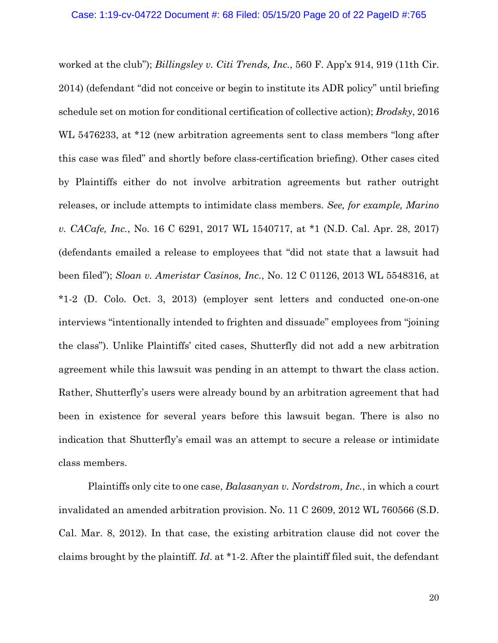worked at the club"); *Billingsley v. Citi Trends, Inc.*, 560 F. App'x 914, 919 (11th Cir. 2014) (defendant "did not conceive or begin to institute its ADR policy" until briefing schedule set on motion for conditional certification of collective action); *Brodsky*, 2016 WL 5476233, at \*12 (new arbitration agreements sent to class members "long after this case was filed" and shortly before class-certification briefing). Other cases cited by Plaintiffs either do not involve arbitration agreements but rather outright releases, or include attempts to intimidate class members. *See, for example, Marino v. CACafe, Inc.*, No. 16 C 6291, 2017 WL 1540717, at \*1 (N.D. Cal. Apr. 28, 2017) (defendants emailed a release to employees that "did not state that a lawsuit had been filed"); *Sloan v. Ameristar Casinos, Inc.*, No. 12 C 01126, 2013 WL 5548316, at \*1-2 (D. Colo. Oct. 3, 2013) (employer sent letters and conducted one-on-one interviews "intentionally intended to frighten and dissuade" employees from "joining the class"). Unlike Plaintiffs' cited cases, Shutterfly did not add a new arbitration agreement while this lawsuit was pending in an attempt to thwart the class action. Rather, Shutterfly's users were already bound by an arbitration agreement that had been in existence for several years before this lawsuit began. There is also no indication that Shutterfly's email was an attempt to secure a release or intimidate class members.

Plaintiffs only cite to one case, *Balasanyan v. Nordstrom, Inc.*, in which a court invalidated an amended arbitration provision. No. 11 C 2609, 2012 WL 760566 (S.D. Cal. Mar. 8, 2012). In that case, the existing arbitration clause did not cover the claims brought by the plaintiff. *Id*. at \*1-2. After the plaintiff filed suit, the defendant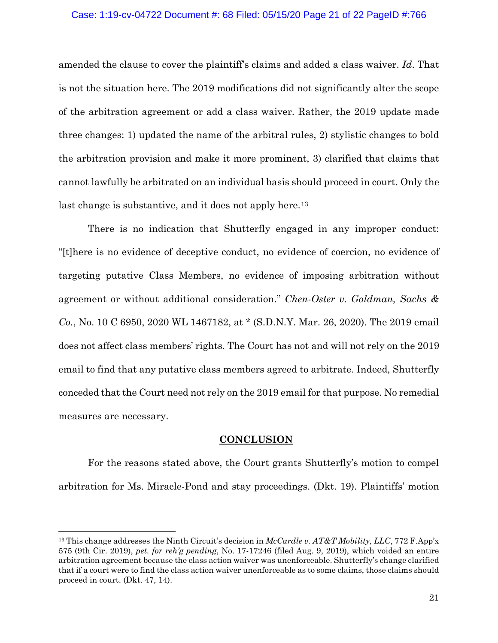#### Case: 1:19-cv-04722 Document #: 68 Filed: 05/15/20 Page 21 of 22 PageID #:766

amended the clause to cover the plaintiff's claims and added a class waiver. *Id*. That is not the situation here. The 2019 modifications did not significantly alter the scope of the arbitration agreement or add a class waiver. Rather, the 2019 update made three changes: 1) updated the name of the arbitral rules, 2) stylistic changes to bold the arbitration provision and make it more prominent, 3) clarified that claims that cannot lawfully be arbitrated on an individual basis should proceed in court. Only the last change is substantive, and it does not apply here.<sup>[13](#page-20-0)</sup>

There is no indication that Shutterfly engaged in any improper conduct: "[t]here is no evidence of deceptive conduct, no evidence of coercion, no evidence of targeting putative Class Members, no evidence of imposing arbitration without agreement or without additional consideration." *Chen-Oster v. Goldman, Sachs & Co.*, No. 10 C 6950, 2020 WL 1467182, at \* (S.D.N.Y. Mar. 26, 2020). The 2019 email does not affect class members' rights. The Court has not and will not rely on the 2019 email to find that any putative class members agreed to arbitrate. Indeed, Shutterfly conceded that the Court need not rely on the 2019 email for that purpose. No remedial measures are necessary.

### **CONCLUSION**

For the reasons stated above, the Court grants Shutterfly's motion to compel arbitration for Ms. Miracle-Pond and stay proceedings. (Dkt. 19). Plaintiffs' motion

<span id="page-20-0"></span><sup>13</sup> This change addresses the Ninth Circuit's decision in *McCardle v. AT&T Mobility, LLC*, 772 F.App'x 575 (9th Cir. 2019), *pet. for reh'g pending*, No. 17-17246 (filed Aug. 9, 2019), which voided an entire arbitration agreement because the class action waiver was unenforceable. Shutterfly's change clarified that if a court were to find the class action waiver unenforceable as to some claims, those claims should proceed in court. (Dkt. 47, 14).